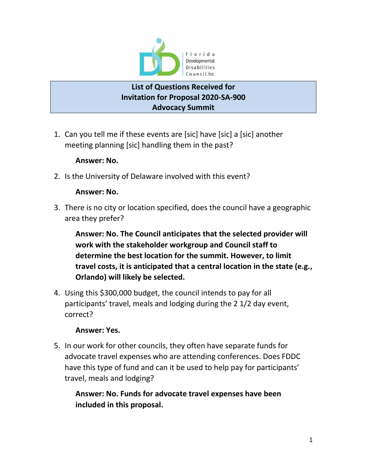

## **List of Questions Received for Invitation for Proposal 2020-SA-900 Advocacy Summit**

1. Can you tell me if these events are [sic] have [sic] a [sic] another meeting planning [sic] handling them in the past?

#### **Answer: No.**

2. Is the University of Delaware involved with this event?

### **Answer: No.**

3. There is no city or location specified, does the council have a geographic area they prefer?

**Answer: No. The Council anticipates that the selected provider will work with the stakeholder workgroup and Council staff to determine the best location for the summit. However, to limit travel costs, it is anticipated that a central location in the state (e.g., Orlando) will likely be selected.**

4. Using this \$300,000 budget, the council intends to pay for all participants' travel, meals and lodging during the 2 1/2 day event, correct?

### **Answer: Yes.**

5. In our work for other councils, they often have separate funds for advocate travel expenses who are attending conferences. Does FDDC have this type of fund and can it be used to help pay for participants' travel, meals and lodging?

**Answer: No. Funds for advocate travel expenses have been included in this proposal.**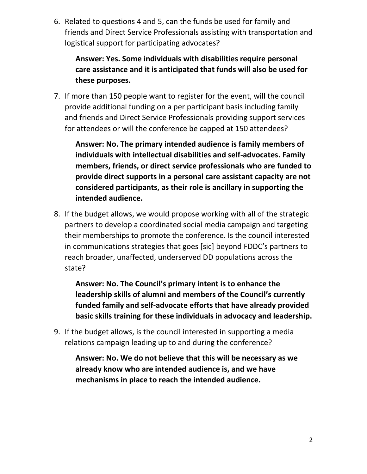6. Related to questions 4 and 5, can the funds be used for family and friends and Direct Service Professionals assisting with transportation and logistical support for participating advocates?

**Answer: Yes. Some individuals with disabilities require personal care assistance and it is anticipated that funds will also be used for these purposes.**

7. If more than 150 people want to register for the event, will the council provide additional funding on a per participant basis including family and friends and Direct Service Professionals providing support services for attendees or will the conference be capped at 150 attendees?

**Answer: No. The primary intended audience is family members of individuals with intellectual disabilities and self-advocates. Family members, friends, or direct service professionals who are funded to provide direct supports in a personal care assistant capacity are not considered participants, as their role is ancillary in supporting the intended audience.**

8. If the budget allows, we would propose working with all of the strategic partners to develop a coordinated social media campaign and targeting their memberships to promote the conference. Is the council interested in communications strategies that goes [sic] beyond FDDC's partners to reach broader, unaffected, underserved DD populations across the state?

**Answer: No. The Council's primary intent is to enhance the leadership skills of alumni and members of the Council's currently funded family and self-advocate efforts that have already provided basic skills training for these individuals in advocacy and leadership.** 

9. If the budget allows, is the council interested in supporting a media relations campaign leading up to and during the conference?

**Answer: No. We do not believe that this will be necessary as we already know who are intended audience is, and we have mechanisms in place to reach the intended audience.**